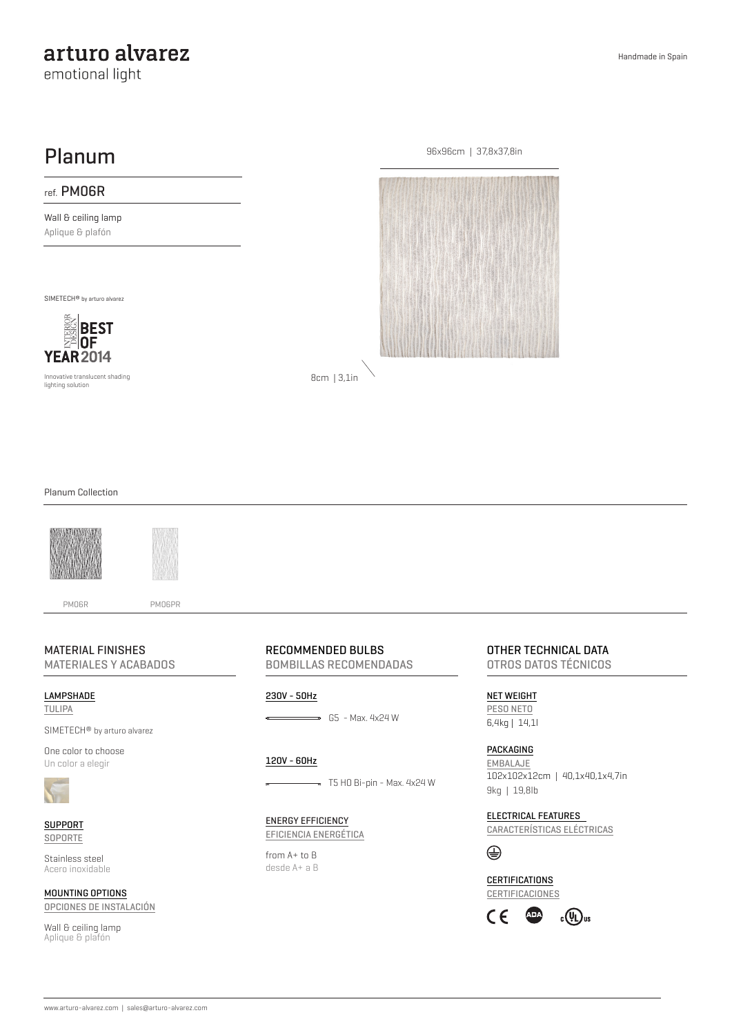# arturo alvarez

emotional light

## Planum

### ref. PM06R

Wall & ceiling lamp Aplique & plafón

SIMETECH® by arturo alvarez



Innovative translucent shading lighting solution



8cm | 3,1in

#### Planum Collection



#### MATERIAL FINISHES

MATERIALES Y ACABADOS

LAMPSHADE TULIPA

SIMETECH® by arturo alvarez

One color to choose Un color a elegir



SUPPORT SOPORTE

Stainless steel Acero inoxidable

MOUNTING OPTIONS OPCIONES DE INSTALACIÓN

Wall & ceiling lamp Aplique & plafón

RECOMMENDED BULBS

BOMBILLAS RECOMENDADAS

#### 230V - 50Hz

 $\overline{\phantom{0}}$  G5 - Max. 4x24 W

#### 120V - 60Hz

#### $\implies$  T5 H0 Bi-pin - Max. 4x24 W

ENERGY EFFICIENCY EFICIENCIA ENERGÉTICA

from A+ to B desde A+ a B OTHER TECHNICAL DATA OTROS DATOS TÉCNICOS

NET WEIGHT PESO NETO 6,4kg | 14,1l

PACKAGING EMBALAJE 102x102x12cm | 40,1x40,1x4,7in 9kg | 19,8lb

ELECTRICAL FEATURES CARACTERÍSTICAS ELÉCTRICAS

 $\oplus$ 

**CERTIFICATIONS** CERTIFICACIONES

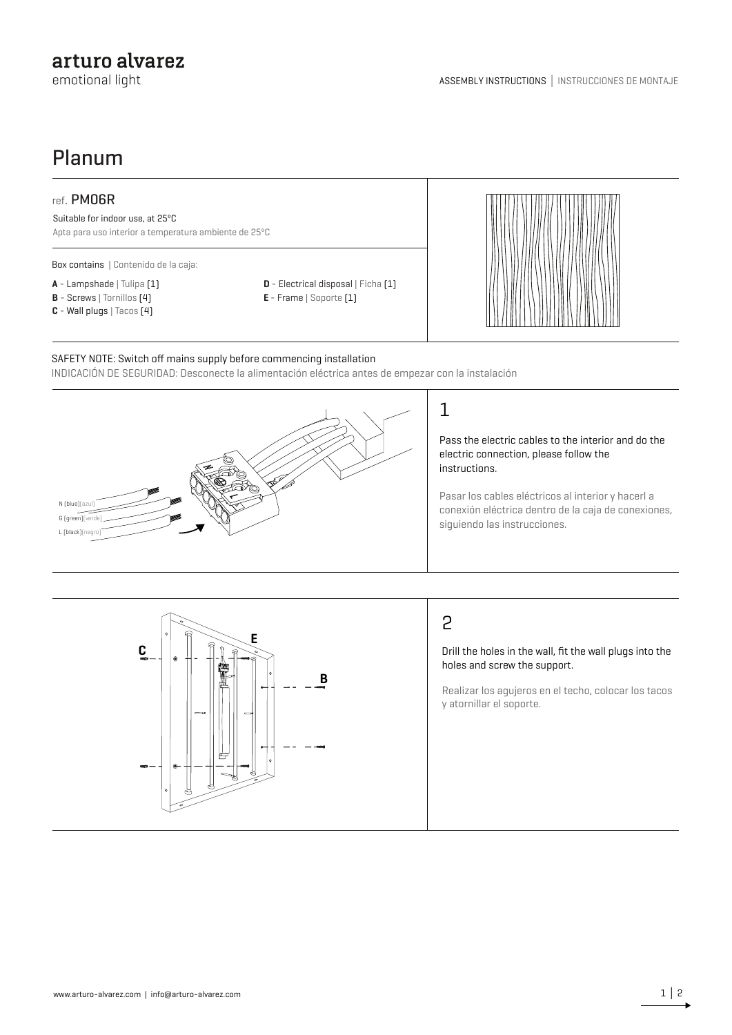### arturo alvarez

emotional light

# Planum

### ref. PM06R

Suitable for indoor use, at 25ºC

Apta para uso interior a temperatura ambiente de 25ºC

Box contains | Contenido de la caja:

- **A** Lampshade | Tulipa (1)
- **B** Screws | Tornillos (4)
- **C** Wall plugs | Tacos (4)
- **D** Electrical disposal | Ficha [1]
- **E**  Frame | Soporte (1)



#### SAFETY NOTE: Switch off mains supply before commencing installation

INDICACIÓN DE SEGURIDAD: Desconecte la alimentación eléctrica antes de empezar con la instalación



Pass the electric cables to the interior and do the electric connection, please follow the

Pasar los cables eléctricos al interior y hacerl a conexión eléctrica dentro de la caja de conexiones,